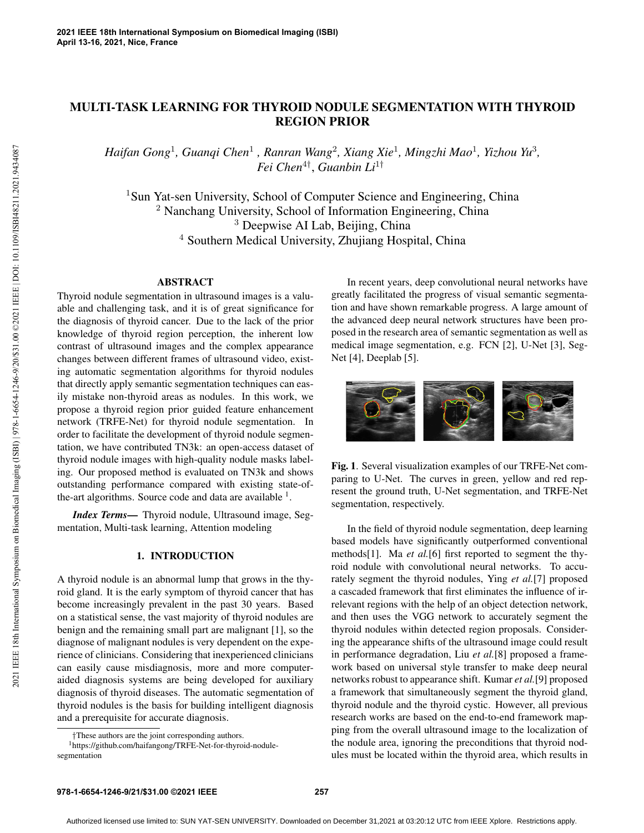## MULTI-TASK LEARNING FOR THYROID NODULE SEGMENTATION WITH THYROID REGION PRIOR

*Haifan Gong*<sup>1</sup> *, Guanqi Chen*<sup>1</sup> *, Ranran Wang*<sup>2</sup> *, Xiang Xie*<sup>1</sup> *, Mingzhi Mao*<sup>1</sup> *, Yizhou Yu*<sup>3</sup> *, Fei Chen*<sup>4</sup>† , *Guanbin Li*<sup>1</sup>†

<sup>1</sup>Sun Yat-sen University, School of Computer Science and Engineering, China <sup>2</sup> Nanchang University, School of Information Engineering, China <sup>3</sup> Deepwise AI Lab, Beijing, China <sup>4</sup> Southern Medical University, Zhujiang Hospital, China

## ABSTRACT

Thyroid nodule segmentation in ultrasound images is a valuable and challenging task, and it is of great significance for the diagnosis of thyroid cancer. Due to the lack of the prior knowledge of thyroid region perception, the inherent low contrast of ultrasound images and the complex appearance changes between different frames of ultrasound video, existing automatic segmentation algorithms for thyroid nodules that directly apply semantic segmentation techniques can easily mistake non-thyroid areas as nodules. In this work, we propose a thyroid region prior guided feature enhancement network (TRFE-Net) for thyroid nodule segmentation. In order to facilitate the development of thyroid nodule segmentation, we have contributed TN3k: an open-access dataset of thyroid nodule images with high-quality nodule masks labeling. Our proposed method is evaluated on TN3k and shows outstanding performance compared with existing state-ofthe-art algorithms. Source code and data are available  $<sup>1</sup>$ .</sup>

*Index Terms*— Thyroid nodule, Ultrasound image, Segmentation, Multi-task learning, Attention modeling

## 1. INTRODUCTION

A thyroid nodule is an abnormal lump that grows in the thyroid gland. It is the early symptom of thyroid cancer that has become increasingly prevalent in the past 30 years. Based on a statistical sense, the vast majority of thyroid nodules are benign and the remaining small part are malignant [1], so the diagnose of malignant nodules is very dependent on the experience of clinicians. Considering that inexperienced clinicians can easily cause misdiagnosis, more and more computeraided diagnosis systems are being developed for auxiliary diagnosis of thyroid diseases. The automatic segmentation of thyroid nodules is the basis for building intelligent diagnosis and a prerequisite for accurate diagnosis.

In recent years, deep convolutional neural networks have greatly facilitated the progress of visual semantic segmentation and have shown remarkable progress. A large amount of the advanced deep neural network structures have been proposed in the research area of semantic segmentation as well as medical image segmentation, e.g. FCN [2], U-Net [3], Seg-Net [4], Deeplab [5].



Fig. 1. Several visualization examples of our TRFE-Net comparing to U-Net. The curves in green, yellow and red represent the ground truth, U-Net segmentation, and TRFE-Net segmentation, respectively.

In the field of thyroid nodule segmentation, deep learning based models have significantly outperformed conventional methods[1]. Ma *et al.*[6] first reported to segment the thyroid nodule with convolutional neural networks. To accurately segment the thyroid nodules, Ying *et al.*[7] proposed a cascaded framework that first eliminates the influence of irrelevant regions with the help of an object detection network, and then uses the VGG network to accurately segment the thyroid nodules within detected region proposals. Considering the appearance shifts of the ultrasound image could result in performance degradation, Liu *et al.*[8] proposed a framework based on universal style transfer to make deep neural networks robust to appearance shift. Kumar *et al.*[9] proposed a framework that simultaneously segment the thyroid gland, thyroid nodule and the thyroid cystic. However, all previous research works are based on the end-to-end framework mapping from the overall ultrasound image to the localization of the nodule area, ignoring the preconditions that thyroid nodules must be located within the thyroid area, which results in

<sup>†</sup>These authors are the joint corresponding authors.

<sup>1</sup>https://github.com/haifangong/TRFE-Net-for-thyroid-nodulesegmentation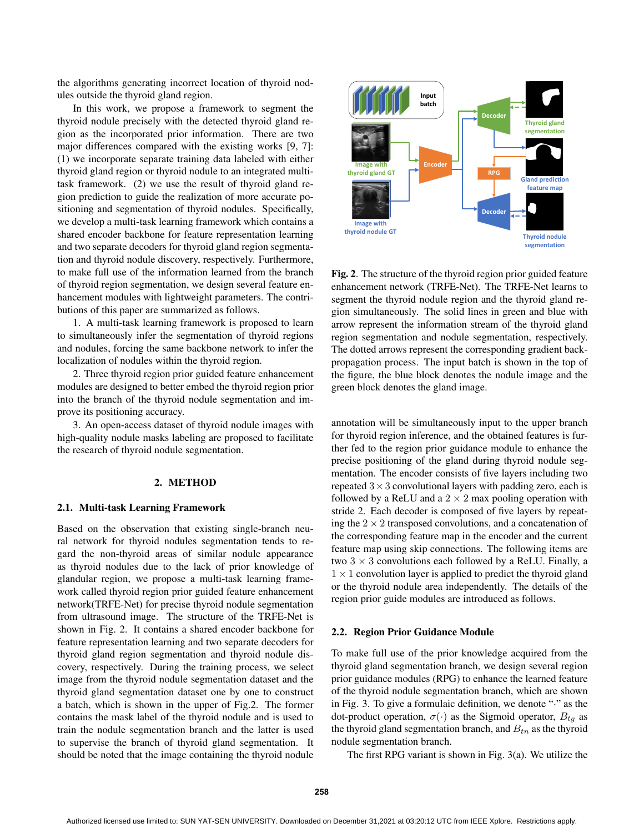the algorithms generating incorrect location of thyroid nodules outside the thyroid gland region.

In this work, we propose a framework to segment the thyroid nodule precisely with the detected thyroid gland region as the incorporated prior information. There are two major differences compared with the existing works [9, 7]: (1) we incorporate separate training data labeled with either thyroid gland region or thyroid nodule to an integrated multitask framework. (2) we use the result of thyroid gland region prediction to guide the realization of more accurate positioning and segmentation of thyroid nodules. Specifically, we develop a multi-task learning framework which contains a shared encoder backbone for feature representation learning and two separate decoders for thyroid gland region segmentation and thyroid nodule discovery, respectively. Furthermore, to make full use of the information learned from the branch of thyroid region segmentation, we design several feature enhancement modules with lightweight parameters. The contributions of this paper are summarized as follows.

1. A multi-task learning framework is proposed to learn to simultaneously infer the segmentation of thyroid regions and nodules, forcing the same backbone network to infer the localization of nodules within the thyroid region.

2. Three thyroid region prior guided feature enhancement modules are designed to better embed the thyroid region prior into the branch of the thyroid nodule segmentation and improve its positioning accuracy.

3. An open-access dataset of thyroid nodule images with high-quality nodule masks labeling are proposed to facilitate the research of thyroid nodule segmentation.

#### 2. METHOD

#### 2.1. Multi-task Learning Framework

Based on the observation that existing single-branch neural network for thyroid nodules segmentation tends to regard the non-thyroid areas of similar nodule appearance as thyroid nodules due to the lack of prior knowledge of glandular region, we propose a multi-task learning framework called thyroid region prior guided feature enhancement network(TRFE-Net) for precise thyroid nodule segmentation from ultrasound image. The structure of the TRFE-Net is shown in Fig. 2. It contains a shared encoder backbone for feature representation learning and two separate decoders for thyroid gland region segmentation and thyroid nodule discovery, respectively. During the training process, we select image from the thyroid nodule segmentation dataset and the thyroid gland segmentation dataset one by one to construct a batch, which is shown in the upper of Fig.2. The former contains the mask label of the thyroid nodule and is used to train the nodule segmentation branch and the latter is used to supervise the branch of thyroid gland segmentation. It should be noted that the image containing the thyroid nodule



Fig. 2. The structure of the thyroid region prior guided feature enhancement network (TRFE-Net). The TRFE-Net learns to segment the thyroid nodule region and the thyroid gland region simultaneously. The solid lines in green and blue with arrow represent the information stream of the thyroid gland region segmentation and nodule segmentation, respectively. The dotted arrows represent the corresponding gradient backpropagation process. The input batch is shown in the top of the figure, the blue block denotes the nodule image and the green block denotes the gland image.

annotation will be simultaneously input to the upper branch for thyroid region inference, and the obtained features is further fed to the region prior guidance module to enhance the precise positioning of the gland during thyroid nodule segmentation. The encoder consists of five layers including two repeated  $3 \times 3$  convolutional layers with padding zero, each is followed by a ReLU and a  $2 \times 2$  max pooling operation with stride 2. Each decoder is composed of five layers by repeating the  $2 \times 2$  transposed convolutions, and a concatenation of the corresponding feature map in the encoder and the current feature map using skip connections. The following items are two  $3 \times 3$  convolutions each followed by a ReLU. Finally, a  $1 \times 1$  convolution layer is applied to predict the thyroid gland or the thyroid nodule area independently. The details of the region prior guide modules are introduced as follows.

#### 2.2. Region Prior Guidance Module

To make full use of the prior knowledge acquired from the thyroid gland segmentation branch, we design several region prior guidance modules (RPG) to enhance the learned feature of the thyroid nodule segmentation branch, which are shown in Fig. 3. To give a formulaic definition, we denote "·" as the dot-product operation,  $\sigma(\cdot)$  as the Sigmoid operator,  $B_{tg}$  as the thyroid gland segmentation branch, and  $B_{tn}$  as the thyroid nodule segmentation branch.

The first RPG variant is shown in Fig. 3(a). We utilize the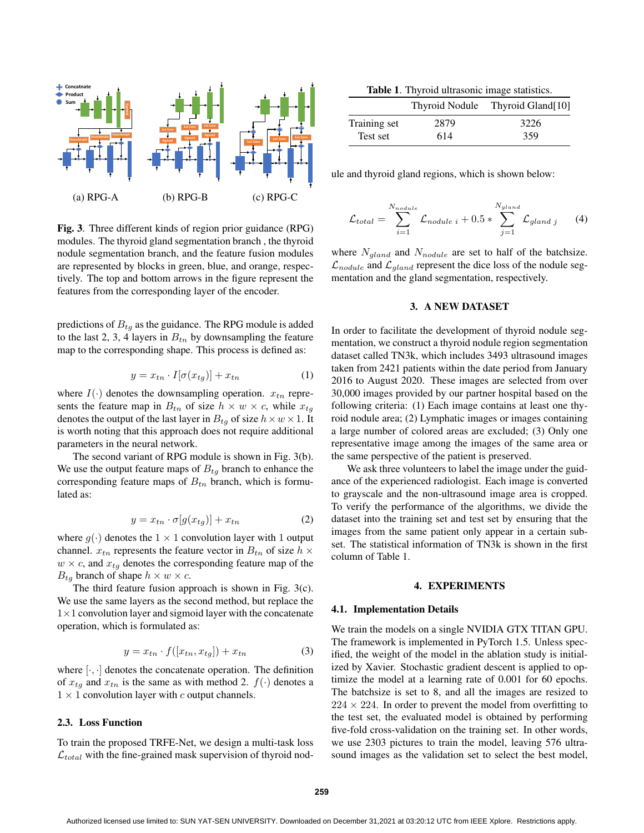

Fig. 3. Three different kinds of region prior guidance (RPG) modules. The thyroid gland segmentation branch , the thyroid nodule segmentation branch, and the feature fusion modules are represented by blocks in green, blue, and orange, respectively. The top and bottom arrows in the figure represent the features from the corresponding layer of the encoder.

predictions of  $B_{tq}$  as the guidance. The RPG module is added to the last 2, 3, 4 layers in  $B_{tn}$  by downsampling the feature map to the corresponding shape. This process is defined as:

$$
y = x_{tn} \cdot I[\sigma(x_{tg})] + x_{tn} \tag{1}
$$

where  $I(\cdot)$  denotes the downsampling operation.  $x_{tn}$  represents the feature map in  $B_{tn}$  of size  $h \times w \times c$ , while  $x_{tq}$ denotes the output of the last layer in  $B_{tg}$  of size  $h \times w \times 1$ . It is worth noting that this approach does not require additional parameters in the neural network.

The second variant of RPG module is shown in Fig. 3(b). We use the output feature maps of  $B_{tq}$  branch to enhance the corresponding feature maps of  $B_{tn}$  branch, which is formulated as:

$$
y = x_{tn} \cdot \sigma[g(x_{tg})] + x_{tn} \tag{2}
$$

where  $g(\cdot)$  denotes the  $1 \times 1$  convolution layer with 1 output channel.  $x_{tn}$  represents the feature vector in  $B_{tn}$  of size  $h \times$  $w \times c$ , and  $x_{tq}$  denotes the corresponding feature map of the  $B_{tg}$  branch of shape  $h \times w \times c$ .

The third feature fusion approach is shown in Fig. 3(c). We use the same layers as the second method, but replace the  $1\times1$  convolution layer and sigmoid layer with the concatenate operation, which is formulated as:

$$
y = x_{tn} \cdot f([x_{tn}, x_{tg}]) + x_{tn}
$$
\n<sup>(3)</sup>

where  $[\cdot, \cdot]$  denotes the concatenate operation. The definition of  $x_{tq}$  and  $x_{tn}$  is the same as with method 2.  $f(\cdot)$  denotes a  $1 \times 1$  convolution layer with c output channels.

### 2.3. Loss Function

To train the proposed TRFE-Net, we design a multi-task loss  $\mathcal{L}_{total}$  with the fine-grained mask supervision of thyroid nod-

Table 1. Thyroid ultrasonic image statistics.

|              |      | Thyroid Nodule Thyroid Gland[10] |
|--------------|------|----------------------------------|
| Training set | 2879 | 3226                             |
| Test set     | 614  | 359                              |

ule and thyroid gland regions, which is shown below:

$$
\mathcal{L}_{total} = \sum_{i=1}^{N_{nodule}} \mathcal{L}_{nodule i} + 0.5 * \sum_{j=1}^{N_{gland}} \mathcal{L}_{gland j} \tag{4}
$$

where  $N_{\text{gland}}$  and  $N_{\text{nodule}}$  are set to half of the batchsize.  $\mathcal{L}_{nodule}$  and  $\mathcal{L}_{qland}$  represent the dice loss of the nodule segmentation and the gland segmentation, respectively.

## 3. A NEW DATASET

In order to facilitate the development of thyroid nodule segmentation, we construct a thyroid nodule region segmentation dataset called TN3k, which includes 3493 ultrasound images taken from 2421 patients within the date period from January 2016 to August 2020. These images are selected from over 30,000 images provided by our partner hospital based on the following criteria: (1) Each image contains at least one thyroid nodule area; (2) Lymphatic images or images containing a large number of colored areas are excluded; (3) Only one representative image among the images of the same area or the same perspective of the patient is preserved.

We ask three volunteers to label the image under the guidance of the experienced radiologist. Each image is converted to grayscale and the non-ultrasound image area is cropped. To verify the performance of the algorithms, we divide the dataset into the training set and test set by ensuring that the images from the same patient only appear in a certain subset. The statistical information of TN3k is shown in the first column of Table 1.

#### 4. EXPERIMENTS

#### 4.1. Implementation Details

We train the models on a single NVIDIA GTX TITAN GPU. The framework is implemented in PyTorch 1.5. Unless specified, the weight of the model in the ablation study is initialized by Xavier. Stochastic gradient descent is applied to optimize the model at a learning rate of 0.001 for 60 epochs. The batchsize is set to 8, and all the images are resized to  $224 \times 224$ . In order to prevent the model from overfitting to the test set, the evaluated model is obtained by performing five-fold cross-validation on the training set. In other words, we use 2303 pictures to train the model, leaving 576 ultrasound images as the validation set to select the best model,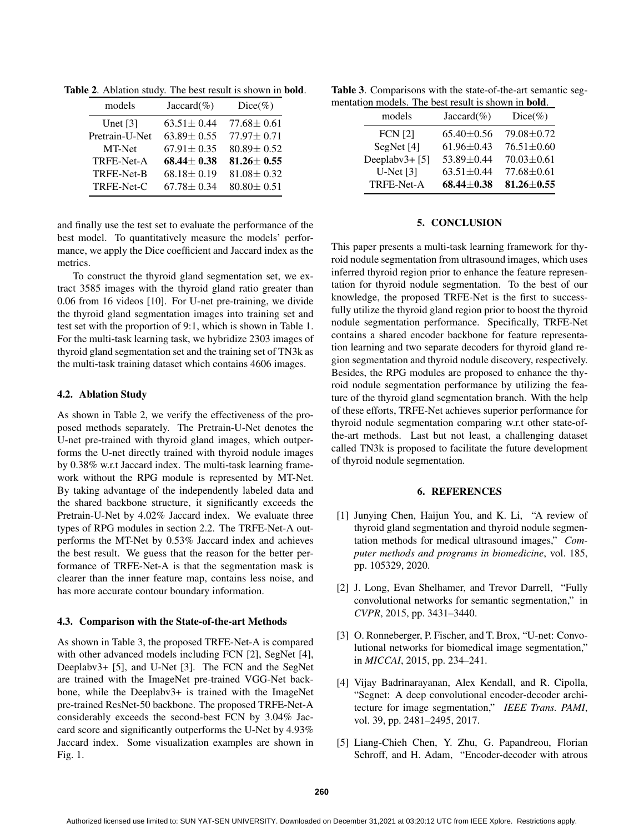Table 2. Ablation study. The best result is shown in bold.

| Jaccard $(\%)$   | $Dice(\%)$       |
|------------------|------------------|
| $63.51 \pm 0.44$ | $77.68 \pm 0.61$ |
| $63.89 \pm 0.55$ | $77.97 \pm 0.71$ |
| $67.91 \pm 0.35$ | $80.89 \pm 0.52$ |
| $68.44 \pm 0.38$ | $81.26 \pm 0.55$ |
| $68.18 \pm 0.19$ | $81.08 \pm 0.32$ |
| $67.78 \pm 0.34$ | $80.80 \pm 0.51$ |
|                  |                  |

and finally use the test set to evaluate the performance of the best model. To quantitatively measure the models' performance, we apply the Dice coefficient and Jaccard index as the metrics.

To construct the thyroid gland segmentation set, we extract 3585 images with the thyroid gland ratio greater than 0.06 from 16 videos [10]. For U-net pre-training, we divide the thyroid gland segmentation images into training set and test set with the proportion of 9:1, which is shown in Table 1. For the multi-task learning task, we hybridize 2303 images of thyroid gland segmentation set and the training set of TN3k as the multi-task training dataset which contains 4606 images.

## 4.2. Ablation Study

As shown in Table 2, we verify the effectiveness of the proposed methods separately. The Pretrain-U-Net denotes the U-net pre-trained with thyroid gland images, which outperforms the U-net directly trained with thyroid nodule images by 0.38% w.r.t Jaccard index. The multi-task learning framework without the RPG module is represented by MT-Net. By taking advantage of the independently labeled data and the shared backbone structure, it significantly exceeds the Pretrain-U-Net by 4.02% Jaccard index. We evaluate three types of RPG modules in section 2.2. The TRFE-Net-A outperforms the MT-Net by 0.53% Jaccard index and achieves the best result. We guess that the reason for the better performance of TRFE-Net-A is that the segmentation mask is clearer than the inner feature map, contains less noise, and has more accurate contour boundary information.

### 4.3. Comparison with the State-of-the-art Methods

As shown in Table 3, the proposed TRFE-Net-A is compared with other advanced models including FCN [2], SegNet [4], Deeplabv3+ [5], and U-Net [3]. The FCN and the SegNet are trained with the ImageNet pre-trained VGG-Net backbone, while the Deeplabv3+ is trained with the ImageNet pre-trained ResNet-50 backbone. The proposed TRFE-Net-A considerably exceeds the second-best FCN by 3.04% Jaccard score and significantly outperforms the U-Net by 4.93% Jaccard index. Some visualization examples are shown in Fig. 1.

Table 3. Comparisons with the state-of-the-art semantic segmentation models. The best result is shown in bold.

| models            | Jaccard $(\%)$   | $Dice(\%)$       |  |  |
|-------------------|------------------|------------------|--|--|
| <b>FCN</b> [2]    | $65.40 \pm 0.56$ | 79.08 ± 0.72     |  |  |
| SegNet [4]        | $61.96 \pm 0.43$ | $76.51 \pm 0.60$ |  |  |
| Deeplabv $3+$ [5] | 53.89±0.44       | $70.03 \pm 0.61$ |  |  |
| $U-Net[3]$        | $63.51 + 0.44$   | $77.68 \pm 0.61$ |  |  |
| TRFE-Net-A        | $68.44 \pm 0.38$ | $81.26 \pm 0.55$ |  |  |
|                   |                  |                  |  |  |

### 5. CONCLUSION

This paper presents a multi-task learning framework for thyroid nodule segmentation from ultrasound images, which uses inferred thyroid region prior to enhance the feature representation for thyroid nodule segmentation. To the best of our knowledge, the proposed TRFE-Net is the first to successfully utilize the thyroid gland region prior to boost the thyroid nodule segmentation performance. Specifically, TRFE-Net contains a shared encoder backbone for feature representation learning and two separate decoders for thyroid gland region segmentation and thyroid nodule discovery, respectively. Besides, the RPG modules are proposed to enhance the thyroid nodule segmentation performance by utilizing the feature of the thyroid gland segmentation branch. With the help of these efforts, TRFE-Net achieves superior performance for thyroid nodule segmentation comparing w.r.t other state-ofthe-art methods. Last but not least, a challenging dataset called TN3k is proposed to facilitate the future development of thyroid nodule segmentation.

#### 6. REFERENCES

- [1] Junying Chen, Haijun You, and K. Li, "A review of thyroid gland segmentation and thyroid nodule segmentation methods for medical ultrasound images," *Computer methods and programs in biomedicine*, vol. 185, pp. 105329, 2020.
- [2] J. Long, Evan Shelhamer, and Trevor Darrell, "Fully convolutional networks for semantic segmentation," in *CVPR*, 2015, pp. 3431–3440.
- [3] O. Ronneberger, P. Fischer, and T. Brox, "U-net: Convolutional networks for biomedical image segmentation," in *MICCAI*, 2015, pp. 234–241.
- [4] Vijay Badrinarayanan, Alex Kendall, and R. Cipolla, "Segnet: A deep convolutional encoder-decoder architecture for image segmentation," *IEEE Trans. PAMI*, vol. 39, pp. 2481–2495, 2017.
- [5] Liang-Chieh Chen, Y. Zhu, G. Papandreou, Florian Schroff, and H. Adam, "Encoder-decoder with atrous